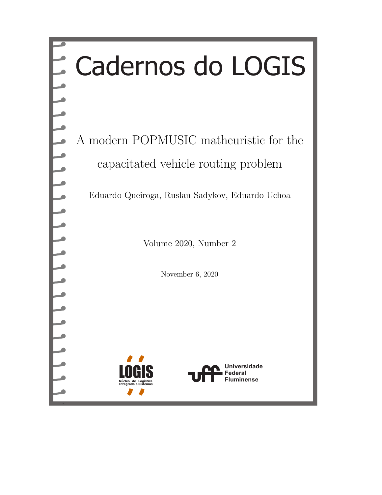# Cadernos do LOGIS

A modern POPMUSIC matheuristic for the capacitated vehicle routing problem

Eduardo Queiroga, Ruslan Sadykov, Eduardo Uchoa

Volume 2020, Number 2

November 6, 2020



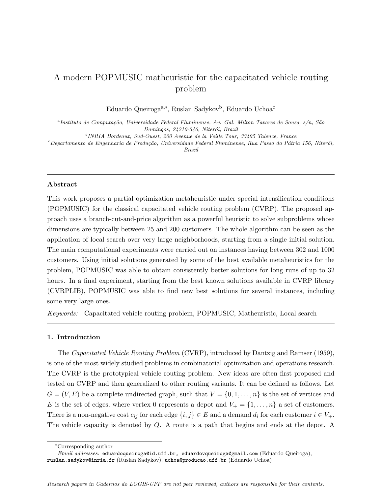# A modern POPMUSIC matheuristic for the capacitated vehicle routing problem

Eduardo Queiroga<sup>a,∗</sup>, Ruslan Sadykov<sup>b</sup>, Eduardo Uchoa<sup>c</sup>

<sup>a</sup>Instituto de Computação, Universidade Federal Fluminense, Av. Gal. Milton Tavares de Souza, s/n, São Domingos, 24210-346, Niterói, Brazil

<sup>b</sup>INRIA Bordeaux, Sud-Ouest, 200 Avenue de la Veille Tour, 33405 Talence, France

 $c^c$ Departamento de Engenharia de Produção, Universidade Federal Fluminense, Rua Passo da Pátria 156, Niterói, Brazil

#### Abstract

This work proposes a partial optimization metaheuristic under special intensification conditions (POPMUSIC) for the classical capacitated vehicle routing problem (CVRP). The proposed approach uses a branch-cut-and-price algorithm as a powerful heuristic to solve subproblems whose dimensions are typically between 25 and 200 customers. The whole algorithm can be seen as the application of local search over very large neighborhoods, starting from a single initial solution. The main computational experiments were carried out on instances having between 302 and 1000 customers. Using initial solutions generated by some of the best available metaheuristics for the problem, POPMUSIC was able to obtain consistently better solutions for long runs of up to 32 hours. In a final experiment, starting from the best known solutions available in CVRP library (CVRPLIB), POPMUSIC was able to find new best solutions for several instances, including some very large ones.

Keywords: Capacitated vehicle routing problem, POPMUSIC, Matheuristic, Local search

# 1. Introduction

The Capacitated Vehicle Routing Problem (CVRP), introduced by [Dantzig and Ramser](#page-23-0) [\(1959\)](#page-23-0), is one of the most widely studied problems in combinatorial optimization and operations research. The CVRP is the prototypical vehicle routing problem. New ideas are often first proposed and tested on CVRP and then generalized to other routing variants. It can be defined as follows. Let  $G = (V, E)$  be a complete undirected graph, such that  $V = \{0, 1, \ldots, n\}$  is the set of vertices and E is the set of edges, where vertex 0 represents a depot and  $V_+ = \{1, \ldots, n\}$  a set of customers. There is a non-negative cost  $c_{ij}$  for each edge  $\{i, j\} \in E$  and a demand  $d_i$  for each customer  $i \in V_+$ . The vehicle capacity is denoted by Q. A route is a path that begins and ends at the depot. A

<sup>∗</sup>Corresponding author

Email addresses: eduardoqueiroga@id.uff.br, eduardovqueiroga@gmail.com (Eduardo Queiroga), ruslan.sadykov@inria.fr (Ruslan Sadykov), uchoa@producao.uff.br (Eduardo Uchoa)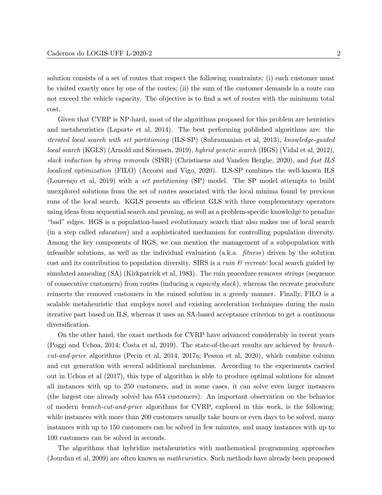solution consists of a set of routes that respect the following constraints: (i) each customer must be visited exactly once by one of the routes; (ii) the sum of the customer demands in a route can not exceed the vehicle capacity. The objective is to find a set of routes with the minimum total cost.

Given that CVRP is NP-hard, most of the algorithms proposed for this problem are heuristics and metaheuristics [\(Laporte et al, 2014\)](#page-23-1). The best performing published algorithms are: the iterated local search with set partitioning (ILS-SP) [\(Subramanian et al, 2013\)](#page-24-0), knowledge-guided local search (KGLS) (Arnold and Sörensen, 2019), hybrid genetic search (HGS) [\(Vidal et al, 2012\)](#page-24-1), slack induction by string removals (SISR) [\(Christiaens and Vanden Berghe, 2020\)](#page-22-1), and fast ILS localized optimization (FILO) [\(Accorsi and Vigo, 2020\)](#page-22-2). ILS-SP combines the well-known ILS (Lourenço et al, 2019) with a set partitioning (SP) model. The SP model attempts to build unexplored solutions from the set of routes associated with the local minima found by previous runs of the local search. KGLS presents an efficient GLS with three complementary operators using ideas from sequential search and pruning, as well as a problem-specific knowledge to penalize "bad" edges. HGS is a population-based evolutionary search that also makes use of local search (in a step called education) and a sophisticated mechanism for controlling population diversity. Among the key components of HGS, we can mention the management of a subpopulation with infeasible solutions, as well as the individual evaluation (a.k.a. fitness) driven by the solution cost and its contribution to population diversity. SIRS is a *ruin*  $\mathscr B$  recreate local search guided by simulated annealing (SA) [\(Kirkpatrick et al, 1983\)](#page-23-3). The ruin procedure removes strings (sequence of consecutive customers) from routes (inducing a capacity slack), whereas the recreate procedure reinserts the removed customers in the ruined solution in a greedy manner. Finally, FILO is a scalable metaheuristic that employs novel and existing acceleration techniques during the main iterative part based on ILS, whereas it uses an SA-based acceptance criterion to get a continuous diversification.

On the other hand, the exact methods for CVRP have advanced considerably in recent years [\(Poggi and Uchoa, 2014;](#page-24-2) [Costa et al, 2019\)](#page-22-3). The state-of-the-art results are achieved by branchcut-and-price algorithms [\(Pecin et al, 2014,](#page-23-4) [2017a;](#page-24-3) [Pessoa et al, 2020\)](#page-24-4), which combine column and cut generation with several additional mechanisms. According to the experiments carried out in [Uchoa et al](#page-24-5) [\(2017\)](#page-24-5), this type of algorithm is able to produce optimal solutions for almost all instances with up to 250 customers, and in some cases, it can solve even larger instances (the largest one already solved has 654 customers). An important observation on the behavior of modern branch-cut-and-price algorithms for CVRP, explored in this work, is the following: while instances with more than 200 customers usually take hours or even days to be solved, many instances with up to 150 customers can be solved in few minutes, and many instances with up to 100 customers can be solved in seconds.

The algorithms that hybridize metaheuristics with mathematical programming approaches [\(Jourdan et al, 2009\)](#page-23-5) are often known as matheuristics. Such methods have already been proposed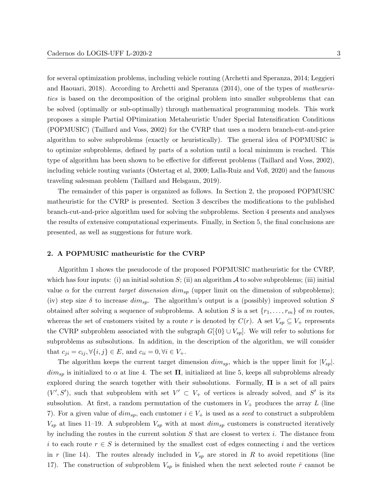for several optimization problems, including vehicle routing [\(Archetti and Speranza, 2014;](#page-22-4) [Leggieri](#page-23-6) [and Haouari, 2018\)](#page-23-6). According to [Archetti and Speranza](#page-22-4) [\(2014\)](#page-22-4), one of the types of matheuristics is based on the decomposition of the original problem into smaller subproblems that can be solved (optimally or sub-optimally) through mathematical programming models. This work proposes a simple Partial OPtimization Metaheuristic Under Special Intensification Conditions (POPMUSIC) [\(Taillard and Voss, 2002\)](#page-24-6) for the CVRP that uses a modern branch-cut-and-price algorithm to solve subproblems (exactly or heuristically). The general idea of POPMUSIC is to optimize subproblems, defined by parts of a solution until a local minimum is reached. This type of algorithm has been shown to be effective for different problems [\(Taillard and Voss, 2002\)](#page-24-6), including vehicle routing variants [\(Ostertag et al, 2009;](#page-23-7) [Lalla-Ruiz and Voß, 2020\)](#page-23-8) and the famous traveling salesman problem [\(Taillard and Helsgaun, 2019\)](#page-24-7).

The remainder of this paper is organized as follows. In Section [2,](#page-3-0) the proposed POPMUSIC matheuristic for the CVRP is presented. Section [3](#page-5-0) describes the modifications to the published branch-cut-and-price algorithm used for solving the subproblems. Section [4](#page-7-0) presents and analyses the results of extensive computational experiments. Finally, in Section [5,](#page-20-0) the final conclusions are presented, as well as suggestions for future work.

# <span id="page-3-0"></span>2. A POPMUSIC matheuristic for the CVRP

Algorithm [1](#page-4-0) shows the pseudocode of the proposed POPMUSIC matheuristic for the CVRP, which has four inputs: (i) an initial solution  $S$ ; (ii) an algorithm  $\mathcal A$  to solve subproblems; (iii) initial value  $\alpha$  for the current *target dimension dim<sub>sp</sub>* (upper limit on the dimension of subproblems); (iv) step size  $\delta$  to increase  $dim_{sp}$ . The algorithm's output is a (possibly) improved solution S obtained after solving a sequence of subproblems. A solution S is a set  $\{r_1, \ldots, r_m\}$  of m routes, whereas the set of customers visited by a route r is denoted by  $C(r)$ . A set  $V_{sp} \subseteq V_+$  represents the CVRP subproblem associated with the subgraph  $G[\{0\} \cup V_{sp}]$ . We will refer to solutions for subproblems as subsolutions. In addition, in the description of the algorithm, we will consider that  $c_{ii} = c_{ii}$ ,  $\forall \{i, j\} \in E$ , and  $c_{ii} = 0$ ,  $\forall i \in V_+$ .

The algorithm keeps the current target dimension  $\dim_{sp}$ , which is the upper limit for  $|V_{sp}|$ .  $\dim_{sp}$  is initialized to  $\alpha$  at line [4.](#page-4-1) The set  $\Pi$ , initialized at line [5,](#page-4-2) keeps all subproblems already explored during the search together with their subsolutions. Formally,  $\Pi$  is a set of all pairs  $(V', S')$ , such that subproblem with set  $V' \subset V_+$  of vertices is already solved, and S' is its subsolution. At first, a random permutation of the customers in  $V_+$  produces the array L (line [7\)](#page-4-3). For a given value of  $dim_{sp}$ , each customer  $i \in V_+$  is used as a seed to construct a subproblem  $V_{sp}$  at lines [11–](#page-4-4)[19.](#page-4-5) A subproblem  $V_{sp}$  with at most  $dim_{sp}$  customers is constructed iteratively by including the routes in the current solution  $S$  that are closest to vertex  $i$ . The distance from i to each route  $r \in S$  is determined by the smallest cost of edges connecting i and the vertices in r (line [14\)](#page-4-6). The routes already included in  $V_{sp}$  are stored in R to avoid repetitions (line [17\)](#page-4-7). The construction of subproblem  $V_{sp}$  is finished when the next selected route  $\hat{r}$  cannot be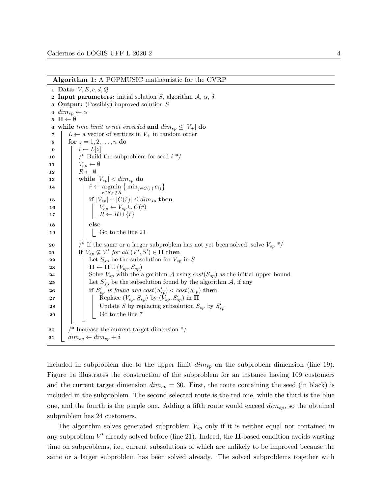Algorithm 1: A POPMUSIC matheuristic for the CVRP

<span id="page-4-12"></span><span id="page-4-7"></span><span id="page-4-6"></span><span id="page-4-4"></span><span id="page-4-3"></span><span id="page-4-2"></span><span id="page-4-1"></span>1 Data:  $V, E, c, d, Q$ **2 Input parameters:** initial solution S, algorithm  $\mathcal{A}, \alpha, \delta$ <sup>3</sup> Output: (Possibly) improved solution S 4  $\dim_{sp} \leftarrow \alpha$  $5 \Pi \leftarrow \emptyset$ 6 while time limit is not exceeded and  $\dim_{sp} \leq |V_+|$  do 7  $L \leftarrow$  a vector of vertices in  $V_+$  in random order 8 for  $z = 1, 2, ..., n$  do 9  $i \leftarrow L[z]$ 10 |  $\frac{1}{2}$  \* Build the subproblem for seed  $i *$ 11 |  $V_{sp} \leftarrow \emptyset$ 12 |  $R \leftarrow \emptyset$ 13 while  $|V_{sn}| < dim_{sn}$  do 14 | |  $\hat{r} \leftarrow \operatorname{argmin} \left\{ \min_{j \in C(r)} c_{ij} \right\}$  $r \in S, r \notin R$ 15 **if**  $|V_{sp}| + |C(\hat{r})| \leq dim_{sp}$  then 16  $\vert$   $\vert$   $\vert$   $V_{sp} \leftarrow V_{sp} \cup C(\hat{r})$ 17 | | |  $R \leftarrow R \cup \{\hat{r}\}$  $18$  else  $\begin{array}{|c|c|c|c|c|c|c|c|c|} \hline \end{array}$  is control in Go to the line [21](#page-4-8) 20 /  $\#$  If the same or a larger subproblem has not yet been solved, solve  $V_{sp}$  \*/ 21 if  $V_{sp} \not\subseteq V'$  for all  $(V', S') \in \Pi$  then 22 | | Let  $S_{sp}$  be the subsolution for  $V_{sp}$  in S 23 | |  $\mathbf{\Pi} \leftarrow \mathbf{\Pi} \cup (V_{sp}, S_{sp})$ 24 Solve  $V_{sp}$  with the algorithm A using  $cost(S_{sp})$  as the initial upper bound 25 | | Let  $S'_{sp}$  be the subsolution found by the algorithm A, if any 26 if  $S'_{sp}$  is found and  $cost(S'_{sp}) < cost(S_{sp})$  then 27 | | | Replace  $(V_{sp}, S_{sp})$  by  $(\hat{V}_{sp}, S'_{sp})$  in  $\Pi$ 28 | | | Update S by replacing subsolution  $S_{sp}$  by  $S'_{sp}$  $29$  | | | Go to the line [7](#page-4-3)  $30 \mid$  /\* Increase the current target dimension  $\mid$  $31 \mid dim_{sp} \leftarrow dim_{sp} + \delta$ 

<span id="page-4-11"></span><span id="page-4-10"></span><span id="page-4-9"></span><span id="page-4-8"></span><span id="page-4-5"></span><span id="page-4-0"></span>included in subproblem due to the upper limit  $\dim_{sp}$  on the subprobem dimension (line [19\)](#page-4-5). Figure [1a](#page-5-1) illustrates the construction of the subproblem for an instance having 109 customers and the current target dimension  $dim_{sp} = 30$ . First, the route containing the seed (in black) is included in the subproblem. The second selected route is the red one, while the third is the blue one, and the fourth is the purple one. Adding a fifth route would exceed  $dim_{sp}$ , so the obtained subproblem has 24 customers.

The algorithm solves generated subproblem  $V_{sp}$  only if it is neither equal nor contained in any subproblem  $V'$  already solved before (line [21\)](#page-4-8). Indeed, the  $\Pi$ -based condition avoids wasting time on subproblems, i.e., current subsolutions of which are unlikely to be improved because the same or a larger subproblem has been solved already. The solved subproblems together with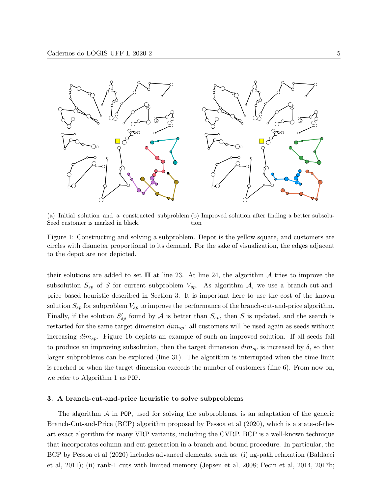<span id="page-5-1"></span>

(a) Initial solution and a constructed subproblem. (b) Improved solution after finding a better subsolu-Seed customer is marked in black. tion

Figure 1: Constructing and solving a subproblem. Depot is the yellow square, and customers are circles with diameter proportional to its demand. For the sake of visualization, the edges adjacent to the depot are not depicted.

their solutions are added to set  $\Pi$  at line [23.](#page-4-9) At line [24,](#page-4-10) the algorithm A tries to improve the subsolution  $S_{sp}$  of S for current subproblem  $V_{sp}$ . As algorithm A, we use a branch-cut-andprice based heuristic described in Section [3.](#page-5-0) It is important here to use the cost of the known solution  $S_{sp}$  for subproblem  $V_{sp}$  to improve the performance of the branch-cut-and-price algorithm. Finally, if the solution  $S'_{sp}$  found by  $A$  is better than  $S_{sp}$ , then S is updated, and the search is restarted for the same target dimension  $\dim_{sp}$ : all customers will be used again as seeds without increasing  $dim_{sp}$ . Figure [1b](#page-5-1) depicts an example of such an improved solution. If all seeds fail to produce an improving subsolution, then the target dimension  $\dim_{sp}$  is increased by  $\delta$ , so that larger subproblems can be explored (line [31\)](#page-4-11). The algorithm is interrupted when the time limit is reached or when the target dimension exceeds the number of customers (line [6\)](#page-4-12). From now on, we refer to Algorithm [1](#page-4-0) as POP.

# <span id="page-5-0"></span>3. A branch-cut-and-price heuristic to solve subproblems

The algorithm  $\mathcal A$  in POP, used for solving the subproblems, is an adaptation of the generic Branch-Cut-and-Price (BCP) algorithm proposed by [Pessoa et al](#page-24-4) [\(2020\)](#page-24-4), which is a state-of-theart exact algorithm for many VRP variants, including the CVRP. BCP is a well-known technique that incorporates column and cut generation in a branch-and-bound procedure. In particular, the BCP by [Pessoa et al](#page-24-4) [\(2020\)](#page-24-4) includes advanced elements, such as: (i) ng-path relaxation [\(Baldacci](#page-22-5) [et al, 2011\)](#page-22-5); (ii) rank-1 cuts with limited memory [\(Jepsen et al, 2008;](#page-23-9) [Pecin et al, 2014,](#page-23-4) [2017b;](#page-24-8)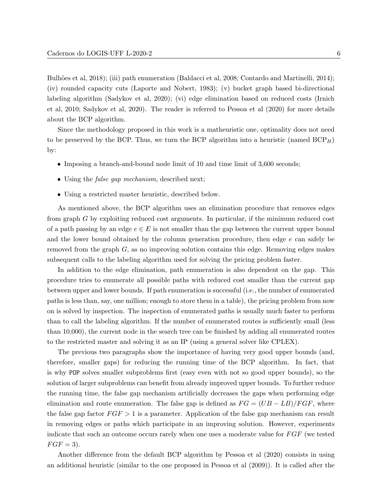Bulhões et al, 2018); (iii) path enumeration [\(Baldacci et al, 2008;](#page-22-7) [Contardo and Martinelli, 2014\)](#page-22-8); (iv) rounded capacity cuts [\(Laporte and Nobert, 1983\)](#page-23-10); (v) bucket graph based bi-directional labeling algorithm [\(Sadykov et al, 2020\)](#page-24-9); (vi) edge elimination based on reduced costs [\(Irnich](#page-23-11) [et al, 2010;](#page-23-11) [Sadykov et al, 2020\)](#page-24-9). The reader is referred to [Pessoa et al](#page-24-4) [\(2020\)](#page-24-4) for more details about the BCP algorithm.

Since the methodology proposed in this work is a matheuristic one, optimality does not need to be preserved by the BCP. Thus, we turn the BCP algorithm into a heuristic (named  $BCP_H$ ) by:

- Imposing a branch-and-bound node limit of 10 and time limit of 3,600 seconds;
- Using the *false gap mechanism*, described next;
- Using a restricted master heuristic, described below.

As mentioned above, the BCP algorithm uses an elimination procedure that removes edges from graph G by exploiting reduced cost arguments. In particular, if the minimum reduced cost of a path passing by an edge  $e \in E$  is not smaller than the gap between the current upper bound and the lower bound obtained by the column generation procedure, then edge e can safely be removed from the graph G, as no improving solution contains this edge. Removing edges makes subsequent calls to the labeling algorithm used for solving the pricing problem faster.

In addition to the edge elimination, path enumeration is also dependent on the gap. This procedure tries to enumerate all possible paths with reduced cost smaller than the current gap between upper and lower bounds. If path enumeration is successful (i.e., the number of enumerated paths is less than, say, one million; enough to store them in a table), the pricing problem from now on is solved by inspection. The inspection of enumerated paths is usually much faster to perform than to call the labeling algorithm. If the number of enumerated routes is sufficiently small (less than 10,000), the current node in the search tree can be finished by adding all enumerated routes to the restricted master and solving it as an IP (using a general solver like CPLEX).

The previous two paragraphs show the importance of having very good upper bounds (and, therefore, smaller gaps) for reducing the running time of the BCP algorithm. In fact, that is why POP solves smaller subproblems first (easy even with not so good upper bounds), so the solution of larger subproblems can benefit from already improved upper bounds. To further reduce the running time, the false gap mechanism artificially decreases the gaps when performing edge elimination and route enumeration. The false gap is defined as  $FG = (UB - LB)/FGF$ , where the false gap factor  $FGF > 1$  is a parameter. Application of the false gap mechanism can result in removing edges or paths which participate in an improving solution. However, experiments indicate that such an outcome occurs rarely when one uses a moderate value for  $FGF$  (we tested  $FGF = 3$ ).

Another difference from the default BCP algorithm by [Pessoa et al](#page-24-4) [\(2020\)](#page-24-4) consists in using an additional heuristic (similar to the one proposed in [Pessoa et al](#page-24-10) [\(2009\)](#page-24-10)). It is called after the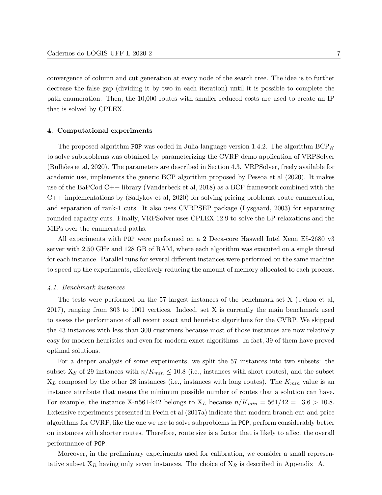convergence of column and cut generation at every node of the search tree. The idea is to further decrease the false gap (dividing it by two in each iteration) until it is possible to complete the path enumeration. Then, the 10,000 routes with smaller reduced costs are used to create an IP that is solved by CPLEX.

## <span id="page-7-0"></span>4. Computational experiments

The proposed algorithm POP was coded in Julia language version 1.4.2. The algorithm  $BCP_H$ to solve subproblems was obtained by parameterizing the CVRP demo application of VRPSolver (Bulhões et al, 2020). The parameters are described in Section [4.3.](#page-8-0) VRPS olver, freely available for academic use, implements the generic BCP algorithm proposed by [Pessoa et al](#page-24-4) [\(2020\)](#page-24-4). It makes use of the BaPCod C++ library [\(Vanderbeck et al, 2018\)](#page-24-11) as a BCP framework combined with the C++ implementations by [\(Sadykov et al, 2020\)](#page-24-9) for solving pricing problems, route enumeration, and separation of rank-1 cuts. It also uses CVRPSEP package [\(Lysgaard, 2003\)](#page-23-12) for separating rounded capacity cuts. Finally, VRPSolver uses CPLEX 12.9 to solve the LP relaxations and the MIPs over the enumerated paths.

All experiments with POP were performed on a 2 Deca-core Haswell Intel Xeon E5-2680 v3 server with 2.50 GHz and 128 GB of RAM, where each algorithm was executed on a single thread for each instance. Parallel runs for several different instances were performed on the same machine to speed up the experiments, effectively reducing the amount of memory allocated to each process.

#### 4.1. Benchmark instances

The tests were performed on the 57 largest instances of the benchmark set X [\(Uchoa et al,](#page-24-5) [2017\)](#page-24-5), ranging from 303 to 1001 vertices. Indeed, set X is currently the main benchmark used to assess the performance of all recent exact and heuristic algorithms for the CVRP. We skipped the 43 instances with less than 300 customers because most of those instances are now relatively easy for modern heuristics and even for modern exact algorithms. In fact, 39 of them have proved optimal solutions.

For a deeper analysis of some experiments, we split the 57 instances into two subsets: the subset  $X<sub>S</sub>$  of 29 instances with  $n/K_{min} \le 10.8$  (i.e., instances with short routes), and the subset  $X_L$  composed by the other 28 instances (i.e., instances with long routes). The  $K_{min}$  value is an instance attribute that means the minimum possible number of routes that a solution can have. For example, the instance X-n561-k42 belongs to  $X_L$  because  $n/K_{min} = 561/42 = 13.6 > 10.8$ . Extensive experiments presented in [Pecin et al](#page-24-3) [\(2017a\)](#page-24-3) indicate that modern branch-cut-and-price algorithms for CVRP, like the one we use to solve subproblems in POP, perform considerably better on instances with shorter routes. Therefore, route size is a factor that is likely to affect the overall performance of POP.

Moreover, in the preliminary experiments used for calibration, we consider a small representative subset  $X_R$  having only seven instances. The choice of  $X_R$  is described in [Appendix A.](#page-25-0)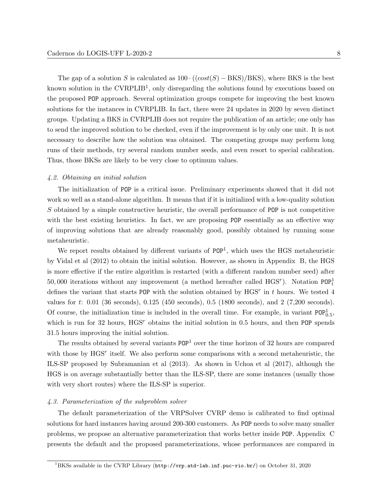The gap of a solution S is calculated as  $100 \cdot ((cost(S) - BKS)/BKS)$ , where BKS is the best known solution in the  $\text{CVRPLIB}^1$  $\text{CVRPLIB}^1$ , only disregarding the solutions found by executions based on the proposed POP approach. Several optimization groups compete for improving the best known solutions for the instances in CVRPLIB. In fact, there were 24 updates in 2020 by seven distinct groups. Updating a BKS in CVRPLIB does not require the publication of an article; one only has to send the improved solution to be checked, even if the improvement is by only one unit. It is not necessary to describe how the solution was obtained. The competing groups may perform long runs of their methods, try several random number seeds, and even resort to special calibration. Thus, those BKSs are likely to be very close to optimum values.

#### 4.2. Obtaining an initial solution

The initialization of POP is a critical issue. Preliminary experiments showed that it did not work so well as a stand-alone algorithm. It means that if it is initialized with a low-quality solution S obtained by a simple constructive heuristic, the overall performance of POP is not competitive with the best existing heuristics. In fact, we are proposing POP essentially as an effective way of improving solutions that are already reasonably good, possibly obtained by running some metaheuristic.

We report results obtained by different variants of  $POP<sup>1</sup>$ , which uses the HGS metaheuristic by [Vidal et al](#page-24-1) [\(2012\)](#page-24-1) to obtain the initial solution. However, as shown in [Appendix B,](#page-26-0) the HGS is more effective if the entire algorithm is restarted (with a different random number seed) after 50,000 iterations without any improvement (a method hereafter called  $HGS<sup>r</sup>$ ). Notation POP<sub>t</sub><sup>1</sup> defines the variant that starts POP with the solution obtained by  $HGS<sup>r</sup>$  in t hours. We tested 4 values for t: 0.01 (36 seconds), 0.125 (450 seconds), 0.5 (1800 seconds), and 2 (7,200 seconds). Of course, the initialization time is included in the overall time. For example, in variant  $POP_{0.5}^1$ , which is run for 32 hours,  $HGS^r$  obtains the initial solution in 0.5 hours, and then POP spends 31.5 hours improving the initial solution.

The results obtained by several variants  $POP<sup>1</sup>$  over the time horizon of 32 hours are compared with those by HGS<sup>r</sup> itself. We also perform some comparisons with a second metaheuristic, the ILS-SP proposed by [Subramanian et al](#page-24-0) [\(2013\)](#page-24-0). As shown in [Uchoa et al](#page-24-5) [\(2017\)](#page-24-5), although the HGS is on average substantially better than the ILS-SP, there are some instances (usually those with very short routes) where the ILS-SP is superior.

#### <span id="page-8-0"></span>4.3. Parameterization of the subproblem solver

The default parameterization of the VRPSolver CVRP demo is calibrated to find optimal solutions for hard instances having around 200-300 customers. As POP needs to solve many smaller problems, we propose an alternative parameterization that works better inside POP. [Appendix C](#page-27-0) presents the default and the proposed parameterizations, whose performances are compared in

<span id="page-8-1"></span><sup>1</sup>BKSs available in the CVRP Library (<http://vrp.atd-lab.inf.puc-rio.br/>) on October 31, 2020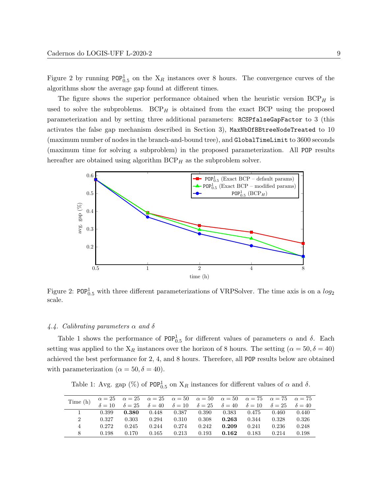Figure [2](#page-9-0) by running  $POP_{0.5}^1$  on the  $X_R$  instances over 8 hours. The convergence curves of the algorithms show the average gap found at different times.

The figure shows the superior performance obtained when the heuristic version  $BCP<sub>H</sub>$  is used to solve the subproblems.  $BCP_H$  is obtained from the exact BCP using the proposed parameterization and by setting three additional parameters: RCSPfalseGapFactor to 3 (this activates the false gap mechanism described in Section [3\)](#page-5-0), MaxNbOfBBtreeNodeTreated to 10 (maximum number of nodes in the branch-and-bound tree), and GlobalTimeLimit to 3600 seconds (maximum time for solving a subproblem) in the proposed parameterization. All POP results hereafter are obtained using algorithm  $BCP<sub>H</sub>$  as the subproblem solver.

<span id="page-9-0"></span>

Figure 2: POP<sup>1</sup><sub>0.5</sub> with three different parameterizations of VRPSolver. The time axis is on a  $log_2$ scale.

# 4.4. Calibrating parameters  $\alpha$  and  $\delta$

Table [1](#page-9-1) shows the performance of POP<sup>1</sup><sub>0.5</sub> for different values of parameters  $\alpha$  and  $\delta$ . Each setting was applied to the  $X_R$  instances over the horizon of 8 hours. The setting ( $\alpha = 50, \delta = 40$ ) achieved the best performance for 2, 4, and 8 hours. Therefore, all POP results below are obtained with parameterization ( $\alpha = 50, \delta = 40$ ).

Table 1: Avg. gap (%) of  $POP_{0.5}^1$  on  $X_R$  instances for different values of  $\alpha$  and  $\delta$ .

<span id="page-9-1"></span>

| Time(h) |       |             |       |       | $\alpha=25 \quad \alpha=25 \quad \alpha=25 \quad \alpha=50 \quad \alpha=50 \quad \alpha=50 \quad \alpha=75 \quad \alpha=75 \quad \alpha=75$                         |             |       |       |       |
|---------|-------|-------------|-------|-------|---------------------------------------------------------------------------------------------------------------------------------------------------------------------|-------------|-------|-------|-------|
|         |       |             |       |       | $\delta=10 \quad \  \delta=25 \quad \  \delta=40 \quad \  \delta=10 \quad \  \delta=25 \quad \  \delta=40 \quad \  \delta=10 \quad \  \delta=25 \quad \  \delta=40$ |             |       |       |       |
|         | 0.399 | $\,0.380\,$ | 0.448 | 0.387 | 0.390                                                                                                                                                               | 0.383 0.475 |       | 0.460 | 0.440 |
| 2       | 0.327 | 0.303       | 0.294 | 0.310 | 0.308                                                                                                                                                               | 0.263       | 0.344 | 0.328 | 0.326 |
| 4       | 0.272 | 0.245       | 0.244 | 0.274 | 0.242                                                                                                                                                               | 0.209       | 0.241 | 0.236 | 0.248 |
| 8       | 0.198 | 0.170       | 0.165 | 0.213 | 0.193                                                                                                                                                               | 0.162       | 0.183 | 0.214 | 0.198 |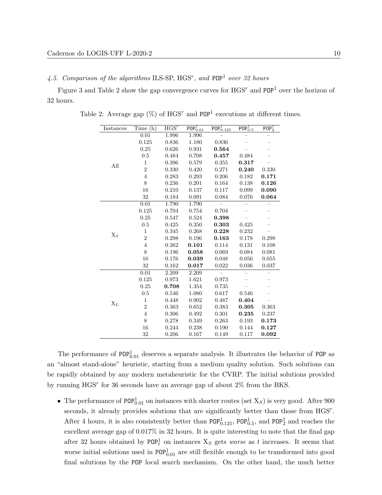4.5. Comparison of the algorithms ILS-SP, HGS<sup>r</sup>, and POP<sup>1</sup> over 32 hours

<span id="page-10-0"></span>Figure [3](#page-11-0) and Table [2](#page-10-0) show the gap convergence curves for  $HGS^r$  and  $POP<sup>1</sup>$  over the horizon of 32 hours.

| Instances      | Time(h)        | HGS <sup>r</sup> | $\overline{\mathsf{POP}^1_{0.01}}$ | $\overline{\mathsf{POP}^1_{0.125}}$ | $\overline{\mathsf{POP}^1_{0.5}}$ | POP <sub>2</sub> <sup>1</sup> |
|----------------|----------------|------------------|------------------------------------|-------------------------------------|-----------------------------------|-------------------------------|
|                | 0.01           | 1.996            | 1.996                              |                                     |                                   |                               |
|                | 0.125          | 0.836            | 1.180                              | 0.836                               |                                   |                               |
|                | 0.25           | 0.626            | 0.931                              | 0.564                               |                                   |                               |
|                | 0.5            | 0.484            | 0.708                              | 0.457                               | 0.484                             |                               |
| All            | $\mathbf{1}$   | 0.396            | 0.579                              | 0.355                               | 0.317                             |                               |
|                | $\overline{2}$ | 0.330            | 0.420                              | 0.271                               | 0.240                             | 0.330                         |
|                | $\overline{4}$ | 0.283            | 0.293                              | 0.206                               | 0.182                             | 0.171                         |
|                | 8              | 0.236            | 0.201                              | 0.164                               | 0.138                             | 0.126                         |
|                | 16             | 0.210            | 0.137                              | 0.117                               | 0.099                             | 0.090                         |
|                | 32             | 0.184            | 0.091                              | 0.084                               | 0.076                             | 0.064                         |
|                | 0.01           | 1.790            | 1.790                              |                                     |                                   |                               |
|                | 0.125          | 0.704            | 0.754                              | 0.704                               |                                   |                               |
|                | 0.25           | 0.547            | 0.524                              | 0.398                               |                                   |                               |
|                | $0.5\,$        | 0.425            | 0.350                              | 0.303                               | 0.425                             |                               |
|                | 1              | 0.345            | 0.268                              | 0.228                               | 0.232                             |                               |
| $\mathrm{X}_S$ | $\overline{2}$ | 0.298            | 0.196                              | 0.163                               | 0.178                             | 0.298                         |
|                | $\overline{4}$ | 0.262            | 0.101                              | 0.114                               | 0.131                             | 0.108                         |
|                | 8              | 0.196            | 0.058                              | 0.069                               | 0.084                             | 0.081                         |
|                | 16             | 0.176            | 0.039                              | 0.048                               | 0.056                             | 0.055                         |
|                | 32             | 0.162            | 0.017                              | 0.022                               | 0.036                             | 0.037                         |
|                | 0.01           | 2.209            | 2.209                              | $\equiv$                            |                                   |                               |
|                | 0.125          | 0.973            | 1.621                              | 0.973                               |                                   | -                             |
|                | 0.25           | 0.708            | 1.354                              | 0.735                               |                                   |                               |
|                | 0.5            | 0.546            | 1.080                              | 0.617                               | 0.546                             |                               |
|                | $\mathbf 1$    | 0.448            | 0.902                              | 0.487                               | 0.404                             | $\equiv$                      |
| $\Chi_L$       | $\overline{2}$ | 0.363            | 0.652                              | 0.383                               | 0.305                             | 0.363                         |
|                | $\overline{4}$ | 0.306            | 0.492                              | 0.301                               | 0.235                             | 0.237                         |
|                | 8              | 0.278            | 0.349                              | 0.263                               | 0.193                             | 0.173                         |
|                | 16             | 0.244            | 0.238                              | 0.190                               | 0.144                             | 0.127                         |
|                | 32             | 0.206            | 0.167                              | 0.149                               | 0.117                             | 0.092                         |

Table 2: Average gap  $(\%)$  of HGS<sup>r</sup> and POP<sup>1</sup> executions at different times.

The performance of  $POP_{0.01}^1$  deserves a separate analysis. It illustrates the behavior of POP as an "almost stand-alone" heuristic, starting from a medium quality solution. Such solutions can be rapidly obtained by any modern metaheuristic for the CVRP. The initial solutions provided by running  $HGS<sup>r</sup>$  for 36 seconds have an average gap of about  $2\%$  from the BKS.

• The performance of POP<sup>1</sup><sub>0.01</sub> on instances with shorter routes (set  $X<sub>S</sub>$ ) is very good. After 900 seconds, it already provides solutions that are significantly better than those from HGS<sup>r</sup>. After 4 hours, it is also consistently better than  $POP_{0.125}^1$ ,  $POP_{0.5}^1$ , and  $POP_2^1$  and reaches the excellent average gap of 0.017% in 32 hours. It is quite interesting to note that the final gap after 32 hours obtained by  $\text{POP}_t^1$  on instances  $X_s$  gets worse as t increases. It seems that worse initial solutions used in  $\text{POP}_{0.01}^1$  are still flexible enough to be transformed into good final solutions by the POP local search mechanism. On the other hand, the much better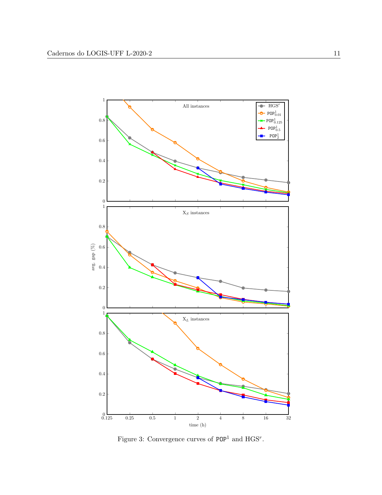<span id="page-11-0"></span>

Figure 3: Convergence curves of  $POP<sup>1</sup>$  and  $HGS<sup>r</sup>$ .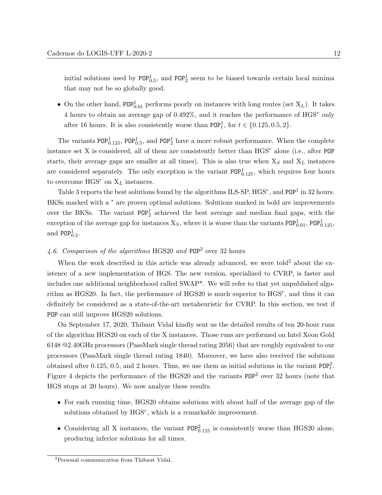initial solutions used by  $POP_{0.5}^1$ , and  $POP_2^1$  seem to be biased towards certain local minima that may not be so globally good.

• On the other hand,  $POP_{0.01}^1$  performs poorly on instances with long routes (set  $X_L$ ). It takes 4 hours to obtain an average gap of  $0.492\%$ , and it reaches the performance of  $HGS^r$  only after 16 hours. It is also consistently worse than  $\text{POP}_t^1$ , for  $t \in \{0.125, 0.5, 2\}$ .

The variants POP<sup>1</sup><sub>0.125</sub>, POP<sup>1</sup><sub>0.5</sub>, and POP<sup>1</sup><sub>2</sub> have a more robust performance. When the complete instance set X is considered, all of them are consistently better than  $HGS<sup>r</sup>$  alone (i.e., after POP starts, their average gaps are smaller at all times). This is also true when  $X_S$  and  $X_L$  instances are considered separately. The only exception is the variant  $POP_{0.125}^1$ , which requires four hours to overcome  $\text{HGS}{}^{r}$  on  $\mathbf{X}_{L}$  instances.

Table [3](#page-15-0) reports the best solutions found by the algorithms ILS-SP,  $HGS^{r}$ , and  $POP^{1}$  in 32 hours. BKSs marked with a <sup>\*</sup> are proven optimal solutions. Solutions marked in bold are improvements over the BKSs. The variant  $POP_2^1$  achieved the best average and median final gaps, with the exception of the average gap for instances  $X_s$ , where it is worse than the variants  $POP_{0.01}^1$ ,  $POP_{0.125}^1$ , and  $POP<sub>0.5</sub><sup>1</sup>$ .

# 4.6. Comparison of the algorithms HGS20 and  $POP<sup>2</sup>$  over 32 hours

When the work described in this article was already advanced, we were told<sup>[2](#page-12-0)</sup> about the existence of a new implementation of HGS. The new version, specialized to CVRP, is faster and includes one additional neighborhood called SWAP\*. We will refer to that yet unpublished algorithm as HGS20. In fact, the performance of HGS20 is much superior to  $H$ GS<sup>r</sup>, and thus it can definitely be considered as a state-of-the-art metaheuristic for CVRP. In this section, we test if POP can still improve HGS20 solutions.

On September 17, 2020, Thibaut Vidal kindly sent us the detailed results of ten 20-hour runs of the algorithm HGS20 on each of the X instances. Those runs are performed on Intel Xeon Gold 6148 @2.40GHz processors (PassMark single thread rating 2056) that are roughly equivalent to our processors (PassMark single thread rating 1840). Moreover, we have also received the solutions obtained after 0.125, 0.5, and 2 hours. Thus, we use them as initial solutions in the variant  $\text{POP}_t^2$ . Figure [4](#page-14-0) depicts the performance of the HGS20 and the variants POP<sup>2</sup> over 32 hours (note that HGS stops at 20 hours). We now analyze these results.

- For each running time, HGS20 obtains solutions with about half of the average gap of the solutions obtained by HGS<sup>r</sup>, which is a remarkable improvement.
- Considering all X instances, the variant  $POP_{0.125}^2$  is consistently worse than HGS20 alone, producing inferior solutions for all times.

<span id="page-12-0"></span><sup>2</sup>Personal communication from Thibaut Vidal.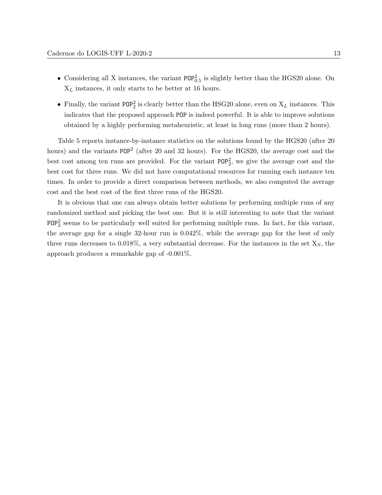- Considering all X instances, the variant  $POP_{0.5}^2$  is slightly better than the HGS20 alone. On  $X_L$  instances, it only starts to be better at 16 hours.
- Finally, the variant  $POP_2^2$  is clearly better than the HSG20 alone, even on  $X_L$  instances. This indicates that the proposed approach POP is indeed powerful. It is able to improve solutions obtained by a highly performing metaheuristic, at least in long runs (more than 2 hours).

Table [5](#page-17-0) reports instance-by-instance statistics on the solutions found by the HGS20 (after 20 hours) and the variants POP<sup>2</sup> (after 20 and 32 hours). For the HGS20, the average cost and the best cost among ten runs are provided. For the variant  $POP<sub>2</sub><sup>2</sup>$ , we give the average cost and the best cost for three runs. We did not have computational resources for running each instance ten times. In order to provide a direct comparison between methods, we also computed the average cost and the best cost of the first three runs of the HGS20.

It is obvious that one can always obtain better solutions by performing multiple runs of any randomized method and picking the best one. But it is still interesting to note that the variant POP<sup>2</sup> seems to be particularly well suited for performing multiple runs. In fact, for this variant, the average gap for a single 32-hour run is 0.042%, while the average gap for the best of only three runs decreases to 0.018%, a very substantial decrease. For the instances in the set  $X<sub>S</sub>$ , the approach produces a remarkable gap of -0.001%.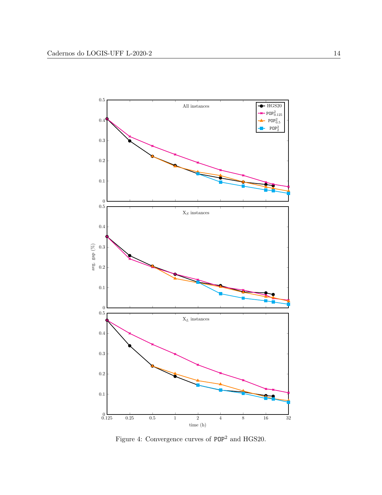<span id="page-14-0"></span>

Figure 4: Convergence curves of  $\mathtt{POP}^2$  and HGS20.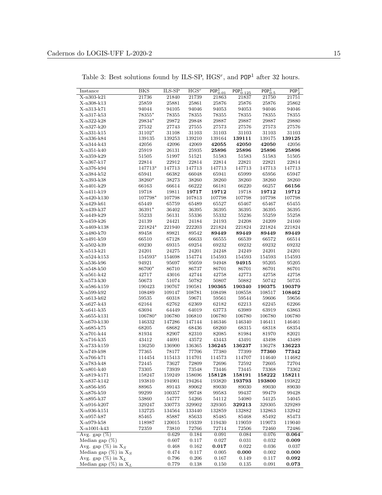<span id="page-15-0"></span>

| Instance                          | <b>BKS</b> | $ILS-SP$ | HGS <sup>r</sup> | $\overline{\text{POP}}_{0.01}^1$ | $\overline{\text{POP}^1_{0.125}}$ | $\overline{\text{POP}^1_{0.5}}$ | POP <sub>2</sub> <sup>1</sup> |
|-----------------------------------|------------|----------|------------------|----------------------------------|-----------------------------------|---------------------------------|-------------------------------|
| X-n303-k21                        | 21736      | 21840    | 21739            | 21863                            | 21837                             | 21750                           | 21751                         |
| X-n308-k13                        | $25859\,$  | 25881    | 25861            | 25876                            | 25876                             | 25876                           | 25862                         |
| X-n313-k71                        | 94044      | 94105    | 94046            | 94053                            | 94053                             | 94046                           | 94046                         |
| X-n317-k53                        | 78355*     | 78355    | 78355            | 78355                            | 78355                             | 78355                           | 78355                         |
| X-n322-k28                        | 29834*     | 29872    | 29848            | 29887                            | 29887                             | 29887                           | 29880                         |
| X-n327-k20                        | 27532      | 27743    | 27555            | 27573                            | 27576                             | 27573                           | 27576                         |
| X-n331-k15                        | $31102*$   | 31108    | 31103            | 31103                            | 31103                             | 31103                           | 31103                         |
| X-n336-k84                        | 139135     | 139253   | 139210           | 139164                           | 139111                            | 139175                          | 139125                        |
| X-n344-k43                        | 42056      | 42096    | 42069            | 42055                            | 42050                             | 42050                           | 42056                         |
| X-n351-k40                        | 25919      | 26131    | 25935            | 25896                            | 25896                             | 25896                           | 25896                         |
| X-n359-k29                        | 51505      | 51997    | 51521            | 51583                            | 51583                             | 51583                           | 51505                         |
| X-n367-k17                        | 22814      | 22912    | 22814            | 22814                            | 22821                             | 22821                           | 22814                         |
| X-n376-k94                        | 147713*    | 147713   | 147713           | 147713                           | 147713                            | 147713                          | 147713                        |
| X-n384-k52                        | 65941      | 66382    | 66048            | 65941                            | 65999                             | 65956                           | 65947                         |
| X-n393-k38                        | 38260*     | 38273    | 38260            | 38260                            | 38260                             | 38260                           | 38260                         |
| X-n401-k29                        | 66163      | 66614    | 66222            | 66181                            | 66220                             | 66257                           | 66156                         |
| X-n411-k19                        | 19718      | 19811    | 19717            | 19712                            | 19718                             | 19712                           | 19712                         |
| X-n420-k130                       | 107798*    | 107798   | 107813           | 107798                           | 107798                            | 107798                          | 107798                        |
| X-n429-k61                        | 65449      | 65759    | 65489            | 65527                            | 65467                             | 65467                           | 65455                         |
| X-n439-k37                        | 36391*     | 36402    | 36395            | 36395                            | 36395                             | 36395                           | 36395                         |
| X-n449-k29                        | 55233      | 56131    | 55336            | 55332                            | 55236                             | 55259                           | 55258                         |
| X-n459-k26                        | 24139      | 24421    | 24184            | 24193                            | 24208                             | 24209                           | 24160                         |
| X-n469-k138                       | 221824*    | 221940   | 222203           | 221824                           | 221824                            | 221824                          | 221824                        |
|                                   |            |          |                  |                                  |                                   |                                 |                               |
| X-n480-k70                        | 89458      | 89821    | 89542            | 89449                            | 89449                             | 89449                           | 89449                         |
| X-n491-k59                        | 66510      | 67128    | 66633            | 66555                            | 66539                             | 66572                           | 66514                         |
| X-n502-k39                        | 69230      | 69315    | 69254            | 69232                            | 69232                             | 69232                           | 69232                         |
| X-n513-k21                        | 24201      | 24275    | 24201            | 24248                            | 24249                             | 24201                           | 24201                         |
| X-n524-k153                       | 154593*    | 154698   | 154774           | 154593                           | 154593                            | 154593                          | 154593                        |
| X-n536-k96                        | 94921      | 95697    | 95059            | 94948                            | 94915                             | 95205                           | 95205                         |
| X-n548-k50                        | 86700*     | 86710    | 86737            | 86701                            | 86701                             | 86701                           | 86701                         |
| X-n561-k42                        | 42717      | 43016    | 42744            | 42758                            | 42773                             | 42758                           | 42758                         |
| X-n573-k30                        | 50673      | 51074    | 50782            | 50807                            | 50882                             | 50742                           | 50735                         |
| X-n586-k159                       | 190423     | 190767   | 190581           | 190365                           | 190340                            | 190375                          | 190379                        |
| X-n599-k92                        | 108489     | 109147   | 108781           | 108498                           | 108558                            | 108517                          | 108462                        |
| X-n613-k62                        | $59535\,$  | 60318    | 59671            | 59561                            | 59544                             | 59606                           | 59656                         |
| X-n627-k43                        | 62164      | 62762    | 62369            | 62182                            | 62213                             | 62245                           | 62266                         |
| X-n641-k35                        | 63694      | 64449    | 64019            | 63773                            | 63989                             | 63919                           | 63863                         |
| X-n655-k131                       | 106780*    | 106780   | 106810           | 106780                           | 106780                            | 106780                          | 106780                        |
| X-n670-k130                       | 146332     | 147286   | 147144           | 146346                           | 146340                            | 146411                          | 146461                        |
| X-n685-k75                        | 68205      | 68682    | 68436            | 68260                            | 68315                             | 68318                           | 68354                         |
| X-n701-k44                        | 81934      | 82907    | 82310            | 82085                            | 81984                             | 81970                           | 82021                         |
| X-n716-k35                        | 43412      | 44091    | 43572            | 43443                            | 43491                             | 43498                           | 43489                         |
| X-n733-k159                       | 136250     | 136900   | 136365           | 136245                           | 136237                            | 136278                          | 136223                        |
| X-n749-k98                        | 77365      | 78177    | 77706            | 77380                            | 77399                             | 77360                           | 77342                         |
| X-n766-k71                        | 114454     | 115413   | 114701           | 114573                           | 114707                            | 114640                          | 114682                        |
| X-n783-k48                        | 72445      | 73627    | 72809            | 72696                            | 72592                             | 72605                           | 72704                         |
| X-n801-k40                        | 73305      | 73939    | 73548            | 73446                            | 73445                             | 73368                           | 73362                         |
| X-n819-k171                       | 158247     | 159249   | 158696           | 158128                           | 158191                            | 158222                          | 158211                        |
| X-n837-k142                       | 193810     | 194901   | 194264           | 193820                           | 193793                            | 193800                          | 193822                        |
| X-n856-k95                        | 88965      | 89143    | 89062            | 89030                            | 89030                             | 89030                           | 89030                         |
| X-n876-k59                        | 99299      | 100357   | 99748            | 99583                            | 99437                             | 99479                           | 99428                         |
| X-n895-k37                        | 53860      | 54777    | 54266            | 54112                            | 54080                             | 54125                           | 54045                         |
| X-n916-k207                       | 329247     | 330773   | 329902           | 329305                           | 329213                            | 329305                          | $329289\,$                    |
| X-n936-k151                       | 132725     | 134564   | 133440           | 132859                           | 132882                            | 132863                          | 132942                        |
| X-n957-k87                        | 85465      | 85887    | 85633            | 85485                            | 85468                             | 85492                           | 85473                         |
| X-n979-k58                        | 118987     | 120015   | 119339           | 119430                           | 119059                            | 119073                          | 119040                        |
| X-n1001-k43                       | 72359      | 73810    | 72766            | 72714                            | 72506                             | 72460                           | 72486                         |
| Avg. gap $(\%)$                   |            | 0.629    | 0.184            | 0.091                            | 0.084                             | 0.076                           | 0.064                         |
| Median gap $(\%)$                 |            | 0.607    | 0.117            | 0.027                            | 0.031                             | 0.032                           | 0.009                         |
| Avg. gap $(\%)$ in X <sub>S</sub> |            | 0.468    | 0.162            | 0.017                            | $\,0.022\,$                       | 0.036                           | 0.037                         |
| Median gap $(\%)$ in $X_S$        |            | 0.474    | 0.117            | 0.005                            | 0.000                             | 0.002                           | 0.000                         |
| Avg. gap $(\%)$ in $X_L$          |            | 0.796    | 0.206            | 0.167                            | 0.149                             | 0.117                           | 0.092                         |
| Median gap $(\%)$ in $X_L$        |            | 0.779    | 0.138            | 0.150                            | 0.135                             | 0.091                           | 0.073                         |

Table 3: Best solutions found by ILS-SP,  $HGS^r$ , and  $POP<sup>1</sup>$  after 32 hours.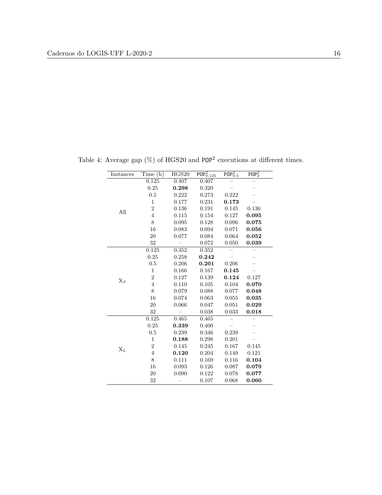| Instances | Time (h)       | HGS20 | $\overline{\text{POP}^{2}_{0.125}}$ | $\overline{\text{POP}_{0.5}^2}$ | POP <sub>2</sub> <sup>2</sup> |
|-----------|----------------|-------|-------------------------------------|---------------------------------|-------------------------------|
|           | 0.125          | 0.407 | 0.407                               |                                 |                               |
|           | 0.25           | 0.298 | 0.320                               |                                 |                               |
|           | 0.5            | 0.222 | 0.273                               | 0.222                           |                               |
|           | $\mathbf{1}$   | 0.177 | 0.231                               | 0.173                           |                               |
| All       | $\overline{2}$ | 0.136 | 0.191                               | 0.145                           | 0.136                         |
|           | $\overline{4}$ | 0.115 | $0.154\,$                           | 0.127                           | 0.095                         |
|           | 8              | 0.095 | 0.128                               | 0.096                           | 0.075                         |
|           | 16             | 0.083 | 0.094                               | 0.071                           | 0.056                         |
|           | 20             | 0.077 | 0.084                               | 0.064                           | 0.052                         |
|           | 32             |       | 0.072                               | 0.050                           | 0.039                         |
|           | 0.125          | 0.352 | 0.352                               |                                 |                               |
|           | 0.25           | 0.258 | 0.242                               |                                 |                               |
|           | 0.5            | 0.206 | 0.201                               | 0.206                           |                               |
|           | $\mathbf{1}$   | 0.166 | 0.167                               | 0.145                           |                               |
|           | $\overline{2}$ | 0.127 | 0.139                               | 0.124                           | 0.127                         |
| $X_S$     | $\overline{4}$ | 0.110 | 0.105                               | 0.104                           | 0.070                         |
|           | 8              | 0.079 | 0.088                               | 0.077                           | 0.048                         |
|           | 16             | 0.074 | 0.063                               | 0.055                           | 0.035                         |
|           | 20             | 0.066 | 0.047                               | 0.051                           | 0.029                         |
|           | 32             |       | 0.038                               | 0.033                           | 0.018                         |
|           | 0.125          | 0.465 | 0.465                               |                                 |                               |
|           | 0.25           | 0.339 | 0.400                               |                                 |                               |
|           | 0.5            | 0.239 | 0.346                               | 0.239                           |                               |
|           | $\mathbf{1}$   | 0.188 | 0.298                               | 0.201                           |                               |
|           | $\overline{2}$ | 0.145 | 0.245                               | 0.167                           | 0.145                         |
| $X_L$     | $\overline{4}$ | 0.120 | 0.204                               | 0.149                           | 0.121                         |
|           | 8              | 0.111 | 0.169                               | 0.116                           | 0.104                         |
|           | 16             | 0.093 | 0.126                               | 0.087                           | 0.079                         |
|           | 20             | 0.090 | 0.122                               | 0.078                           | 0.077                         |
|           | 32             |       | 0.107                               | 0.068                           | 0.060                         |

Table 4: Average gap  $(\%)$  of HGS20 and POP<sup>2</sup> executions at different times.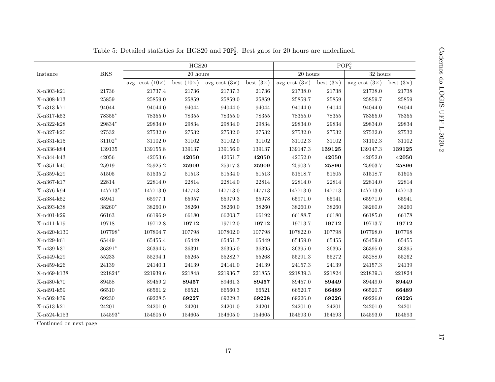| Instance    |                |                        | HGS20             |                      |                  |                                       |                      | POP <sub>2</sub> <sup>2</sup> |                  |
|-------------|----------------|------------------------|-------------------|----------------------|------------------|---------------------------------------|----------------------|-------------------------------|------------------|
|             | <b>BKS</b>     |                        | 20 hours          |                      |                  | 20 hours                              |                      | $32\;{\rm hours}$             |                  |
|             |                | avg. cost $(10\times)$ | best $(10\times)$ | avg cost $(3\times)$ | best $(3\times)$ | avg cost $(3\times)$ best $(3\times)$ |                      | avg cost $(3\times)$          | best $(3\times)$ |
| X-n303-k21  | $21736\,$      | 21737.4                | 21736             | 21737.3              | 21736            | 21738.0                               | 21738                | 21738.0                       | $21738\,$        |
| X-n308-k13  | $25859\,$      | 25859.0                | 25859             | 25859.0              | 25859            | 25859.7                               | 25859                | 25859.7                       | 25859            |
| X-n313-k71  | 94044          | 94044.0                | 94044             | 94044.0              | 94044            | 94044.0                               | 94044                | 94044.0                       | 94044            |
| X-n317-k53  | $78355*$       | 78355.0                | 78355             | 78355.0              | $78355\,$        | 78355.0                               | $78355\,$            | 78355.0                       | 78355            |
| X-n322-k28  | $29834^{\ast}$ | 29834.0                | 29834             | 29834.0              | 29834            | 29834.0                               | $\boldsymbol{29834}$ | 29834.0                       | 29834            |
| X-n327-k20  | $27532\,$      | 27532.0                | 27532             | $27532.0\,$          | $27532\,$        | 27532.0                               | 27532                | 27532.0                       | $27532\,$        |
| X-n331-k15  | $31102^{\ast}$ | 31102.0                | 31102             | 31102.0              | $31102\,$        | 31102.3                               | $31102\,$            | 31102.3                       | 31102            |
| X-n336-k84  | $139135\,$     | 139155.8               | 139137            | 139156.0             | 139137           | 139147.3                              | 139125               | 139147.3                      | 139125           |
| X-n344-k43  | $42056\,$      | 42053.6                | 42050             | 42051.7              | 42050            | 42052.0                               | 42050                | 42052.0                       | 42050            |
| X-n351-k40  | $25919\,$      | $25925.2\,$            | 25909             | $25917.3\,$          | 25909            | 25903.7                               | 25896                | 25903.7                       | 25896            |
| X-n359-k29  | 51505          | $51535.2\,$            | $51513\,$         | $51534.0\,$          | 51513            | 51518.7                               | $51505\,$            | 51518.7                       | 51505            |
| X-n367-k17  | 22814          | 22814.0                | 22814             | 22814.0              | 22814            | 22814.0                               | 22814                | 22814.0                       | 22814            |
| X-n376-k94  | $147713*$      | 147713.0               | 147713            | 147713.0             | 147713           | 147713.0                              | 147713               | 147713.0                      | 147713           |
| X-n384-k52  | 65941          | 65977.1                | 65957             | 65979.3              | 65978            | 65971.0                               | 65941                | 65971.0                       | 65941            |
| X-n393-k38  | 38260*         | 38260.0                | 38260             | 38260.0              | 38260            | 38260.0                               | 38260                | 38260.0                       | 38260            |
| X-n401-k29  | 66163          | 66196.9                | 66180             | 66203.7              | 66192            | 66188.7                               | 66180                | 66185.0                       | 66178            |
| X-n411-k19  | 19718          | 19712.8                | 19712             | 19712.0              | 19712            | 19713.7                               | 19712                | 19713.7                       | 19712            |
| X-n420-k130 | 107798*        | 107804.7               | 107798            | 107802.0             | 107798           | 107822.0                              | 107798               | 107798.0                      | 107798           |
| X-n429-k61  | 65449          | 65455.4                | 65449             | 65451.7              | 65449            | 65459.0                               | 65455                | 65459.0                       | 65455            |
| X-n439-k37  | 36391*         | 36394.5                | 36391             | 36395.0              | 36395            | 36395.0                               | 36395                | 36395.0                       | 36395            |
| X-n449-k29  | 55233          | 55294.1                | $55265\,$         | 55282.7              | 55268            | 55291.3                               | $55272\,$            | 55288.0                       | 55262            |
| X-n459-k26  | 24139          | 24140.1                | 24139             | 24141.0              | 24139            | 24157.3                               | 24139                | 24157.3                       | 24139            |
| X-n469-k138 | $221824*$      | 221939.6               | 221848            | 221936.7             | 221855           | 221839.3                              | 221824               | 221839.3                      | 221824           |
| X-n480-k70  | 89458          | 89459.2                | 89457             | 89461.3              | 89457            | 89457.0                               | 89449                | 89449.0                       | 89449            |
| X-n491-k59  | 66510          | 66561.2                | 66521             | 66560.3              | 66521            | 66520.7                               | 66489                | 66520.7                       | 66489            |
| X-n502-k39  | 69230          | 69228.5                | 69227             | 69229.3              | 69228            | 69226.0                               | 69226                | 69226.0                       | 69226            |
| X-n513-k21  | 24201          | 24201.0                | 24201             | 24201.0              | 24201            | 24201.0                               | 24201                | 24201.0                       | 24201            |
| X-n524-k153 | 154593*        | 154605.0               | 154605            | 154605.0             | 154605           | 154593.0                              | 154593               | 154593.0                      | 154593           |

<span id="page-17-0"></span>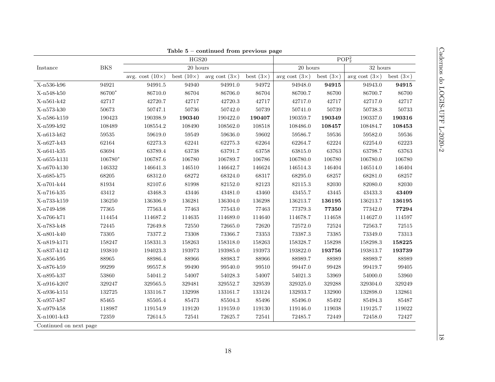|             |            |                        |                   | Table $5$ – continued from previous page |                  |                      |                               |                      |                  |
|-------------|------------|------------------------|-------------------|------------------------------------------|------------------|----------------------|-------------------------------|----------------------|------------------|
|             |            |                        | HGS20             |                                          |                  |                      | POP <sub>2</sub> <sup>2</sup> |                      |                  |
| Instance    | <b>BKS</b> |                        | $20\ {\rm hours}$ |                                          |                  | $20\ {\rm hours}$    |                               | $32~\mathrm{hours}$  |                  |
|             |            | avg. cost $(10\times)$ | best $(10\times)$ | avg cost $(3\times)$                     | best $(3\times)$ | avg cost $(3\times)$ | best $(3\times)$              | avg cost $(3\times)$ | best $(3\times)$ |
| X-n536-k96  | 94921      | 94991.5                | 94940             | 94991.0                                  | 94972            | 94948.0              | 94915                         | 94943.0              | 94915            |
| X-n548-k50  | 86700*     | 86710.0                | 86704             | 86706.0                                  | 86704            | 86700.7              | 86700                         | 86700.7              | 86700            |
| X-n561-k42  | 42717      | 42720.7                | 42717             | 42720.3                                  | 42717            | 42717.0              | 42717                         | 42717.0              | 42717            |
| X-n573-k30  | 50673      | 50747.1                | 50736             | 50742.0                                  | 50739            | 50741.0              | 50739                         | 50738.3              | 50733            |
| X-n586-k159 | 190423     | 190398.9               | 190340            | 190422.0                                 | 190407           | 190359.7             | 190349                        | 190337.0             | 190316           |
| X-n599-k92  | 108489     | 108554.2               | 108490            | 108562.0                                 | 108518           | 108486.0             | 108457                        | 108484.7             | 108453           |
| X-n613-k62  | $59535\,$  | 59619.0                | 59549             | 59636.0                                  | 59602            | 59586.7              | 59536                         | 59582.0              | 59536            |
| X-n627-k43  | 62164      | 62273.3                | 62241             | 62275.3                                  | 62264            | 62264.7              | 62224                         | 62254.0              | 62223            |
| X-n641-k35  | 63694      | 63789.4                | 63738             | 63791.7                                  | 63758            | 63815.0              | 63763                         | 63798.7              | 63763            |
| X-n655-k131 | 106780*    | 106787.6               | 106780            | 106789.7                                 | 106786           | 106780.0             | 106780                        | 106780.0             | 106780           |
| X-n670-k130 | 146332     | 146641.3               | 146510            | 146642.7                                 | 146624           | 146514.3             | 146404                        | 146514.0             | 146404           |
| X-n685-k75  | 68205      | 68312.0                | 68272             | 68324.0                                  | 68317            | 68295.0              | 68257                         | 68281.0              | 68257            |
| X-n701-k44  | $81934\,$  | 82107.6                | 81998             | 82152.0                                  | 82123            | 82115.3              | 82030                         | 82080.0              | 82030            |
| X-n716-k35  | 43412      | 43468.3                | $\!3446\!$        | 43481.0                                  | 43460            | 43455.7              | 43445                         | 43433.3              | 43409            |
| X-n733-k159 | 136250     | 136306.9               | 136281            | 136304.0                                 | 136298           | 136213.7             | 136195                        | 136213.7             | 136195           |
| X-n749-k98  | 77365      | 77563.4                | 77463             | 77543.0                                  | 77463            | 77379.3              | 77350                         | 77342.0              | 77294            |
| X-n766-k71  | 114454     | 114687.2               | 114635            | 114689.0                                 | 114640           | 114678.7             | 114658                        | 114627.0             | 114597           |
| X-n783-k48  | 72445      | 72649.8                | 72550             | 72665.0                                  | 72620            | 72572.0              | 72524                         | 72563.7              | 72515            |
| X-n801-k40  | 73305      | 73377.2                | 73308             | 73366.7                                  | 73353            | 73387.3              | 73385                         | 73349.0              | 73313            |
| X-n819-k171 | 158247     | 158331.3               | 158263            | 158318.0                                 | 158263           | 158328.7             | 158298                        | 158298.3             | 158225           |
| X-n837-k142 | 193810     | 194023.3               | 193973            | 193985.0                                 | 193973           | 193822.0             | 193756                        | 193813.7             | 193739           |
| X-n856-k95  | 88965      | 88986.4                | 88966             | 88983.7                                  | 88966            | 88989.7              | 88989                         | 88989.7              | 88989            |
| X-n876-k59  | 99299      | 99557.8                | 99490             | 99540.0                                  | 99510            | 99447.0              | 99428                         | 99419.7              | 99405            |
| X-n895-k37  | 53860      | 54041.2                | 54007             | 54028.3                                  | 54007            | 54021.3              | 53969                         | 54000.0              | 53960            |
| X-n916-k207 | 329247     | 329565.5               | 329481            | 329552.7                                 | 329539           | 329325.0             | 329288                        | 329304.0             | 329249           |
| X-n936-k151 | 132725     | 133116.7               | 132998            | 133161.7                                 | 133124           | 132933.7             | 132900                        | 132898.0             | 132861           |
| X-n957-k87  | 85465      | 85505.4                | 85473             | 85504.3                                  | 85496            | 85496.0              | 85492                         | 85494.3              | 85487            |
| X-n979-k58  | 118987     | 119154.9               | 119120            | 119159.0                                 | 119130           | 119146.0             | 119038                        | 119125.7             | 119022           |
|             | 72359      | 72614.5                | $72541\,$         | 72625.7                                  | 72541            | 72485.7              | 72449                         | 72458.0              | 72427            |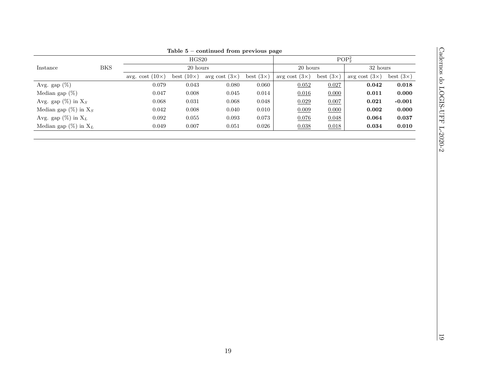|                                                                                                                             |             |                        |                     | Table $5$ – continued from previous page |                  |                      |                  |                               |                      |
|-----------------------------------------------------------------------------------------------------------------------------|-------------|------------------------|---------------------|------------------------------------------|------------------|----------------------|------------------|-------------------------------|----------------------|
|                                                                                                                             |             |                        | $\rm HGS20$         |                                          |                  |                      |                  | POP <sub>2</sub> <sup>2</sup> |                      |
| $\operatorname*{Instance}% \left( X\right) \equiv\operatorname*{Tr}\left( X\right) \equiv\operatorname*{Tr}\left( X\right)$ | ${\rm BKS}$ |                        | $20~\mathrm{hours}$ |                                          |                  | $20\ {\rm hours}$    |                  | $32~\mathrm{hours}$           |                      |
|                                                                                                                             |             | avg. cost $(10\times)$ | best $(10\times)$   | avg cost $(3\times)$                     | best $(3\times)$ | avg cost $(3\times)$ | best $(3\times)$ | avg cost $(3\times)$          | best $(3\times)$     |
| Avg. gap $(\%)$                                                                                                             |             | 0.079                  | $\,0.043\,$         | 0.080                                    | $0.060\,$        | 0.052                | 0.027            | $\bf{0.042}$                  | $\bf{0.018}$         |
| Median gap $(\%)$                                                                                                           |             | 0.047                  | 0.008               | $0.045\,$                                | $\,0.014\,$      | 0.016                | 0.000            | $\bf 0.011$                   | $\boldsymbol{0.000}$ |
| Avg. gap $(\%)$ in Xs                                                                                                       |             | 0.068                  | $\,0.031\,$         | $0.068\,$                                | $0.048\,$        | 0.029                | 0.007            | $\bf 0.021$                   | $-0.001$             |
| Median gap $(\%)$ in $X_S$                                                                                                  |             | $\,0.042\,$            | $0.008\,$           | $0.040\,$                                | $0.010\,$        | 0.009                | 0.000            | $\bf 0.002$                   | $\boldsymbol{0.000}$ |
| Avg. gap $(\%)$ in $X_L$                                                                                                    |             | $\,0.092\,$            | $0.055\,$           | $0.093\,$                                | $0.073\,$        | 0.076                | 0.048            | 0.064                         | $\bf 0.037$          |
| Median gap (%) in $\mathbf{X}_L$                                                                                            |             | $0.049\,$              | $0.007\,$           | $\,0.051\,$                              | $0.026\,$        | 0.038                | 0.018            | $\bf 0.034$                   | $\boldsymbol{0.010}$ |
|                                                                                                                             |             |                        |                     |                                          |                  |                      |                  |                               |                      |
|                                                                                                                             |             |                        |                     |                                          |                  |                      |                  |                               |                      |
|                                                                                                                             |             |                        |                     |                                          |                  |                      |                  |                               |                      |
|                                                                                                                             |             |                        |                     |                                          |                  |                      |                  |                               |                      |
|                                                                                                                             |             |                        |                     |                                          |                  |                      |                  |                               |                      |
|                                                                                                                             |             |                        |                     |                                          |                  |                      |                  |                               |                      |
|                                                                                                                             |             |                        |                     |                                          |                  |                      |                  |                               |                      |
|                                                                                                                             |             |                        |                     |                                          |                  |                      |                  |                               |                      |
|                                                                                                                             |             |                        |                     |                                          |                  |                      |                  |                               |                      |
|                                                                                                                             |             |                        |                     |                                          |                  |                      |                  |                               |                      |
|                                                                                                                             |             |                        |                     |                                          |                  |                      |                  |                               |                      |
|                                                                                                                             |             |                        |                     |                                          |                  |                      |                  |                               |                      |
|                                                                                                                             |             |                        |                     |                                          |                  |                      |                  |                               |                      |
|                                                                                                                             |             |                        |                     |                                          |                  |                      |                  |                               |                      |
|                                                                                                                             |             |                        |                     |                                          |                  |                      |                  |                               |                      |
|                                                                                                                             |             |                        |                     |                                          |                  |                      |                  |                               |                      |
|                                                                                                                             |             |                        |                     |                                          |                  |                      |                  |                               |                      |
|                                                                                                                             |             |                        |                     |                                          |                  |                      |                  |                               |                      |
|                                                                                                                             |             |                        |                     |                                          |                  |                      |                  |                               |                      |
|                                                                                                                             |             |                        |                     |                                          |                  |                      |                  |                               |                      |
|                                                                                                                             |             |                        |                     |                                          |                  |                      |                  |                               |                      |
|                                                                                                                             |             |                        |                     |                                          |                  |                      |                  |                               |                      |
|                                                                                                                             |             |                        |                     |                                          |                  |                      |                  |                               |                      |
|                                                                                                                             |             |                        |                     |                                          |                  |                      |                  |                               |                      |
|                                                                                                                             |             |                        |                     |                                          |                  |                      |                  |                               |                      |
|                                                                                                                             |             |                        |                     |                                          |                  |                      |                  |                               |                      |
|                                                                                                                             |             |                        |                     |                                          |                  |                      |                  |                               |                      |
|                                                                                                                             |             |                        |                     |                                          |                  |                      |                  |                               |                      |
|                                                                                                                             |             |                        |                     |                                          |                  |                      |                  |                               |                      |
|                                                                                                                             |             |                        |                     |                                          |                  |                      |                  |                               |                      |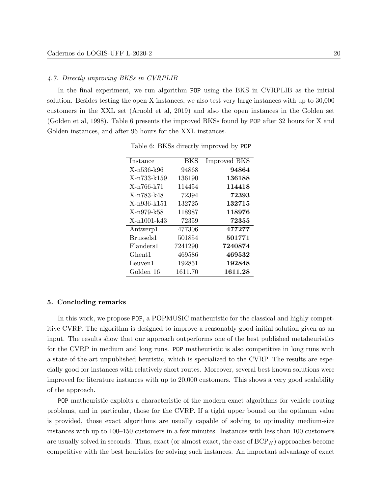#### 4.7. Directly improving BKSs in CVRPLIB

<span id="page-20-1"></span>In the final experiment, we run algorithm POP using the BKS in CVRPLIB as the initial solution. Besides testing the open X instances, we also test very large instances with up to 30,000 customers in the XXL set [\(Arnold et al, 2019\)](#page-22-10) and also the open instances in the Golden set [\(Golden et al, 1998\)](#page-23-13). Table [6](#page-20-1) presents the improved BKSs found by POP after 32 hours for X and Golden instances, and after 96 hours for the XXL instances.

| Instance              | BKS     | <b>Improved BKS</b> |
|-----------------------|---------|---------------------|
| X-n536-k96            | 94868   | 94864               |
| X-n733-k159           | 136190  | 136188              |
| X-n766-k71            | 114454  | 114418              |
| X-n783-k48            | 72394   | 72393               |
| X-n936-k151           | 132725  | 132715              |
| X-n979-k58            | 118987  | 118976              |
| X-n1001-k43           | 72359   | 72355               |
| Antwerp1              | 477306  | 477277              |
| Brussels1             | 501854  | 501771              |
| Flanders1             | 7241290 | 7240874             |
| Ghent1                | 469586  | 469532              |
| Leuven1               | 192851  | 192848              |
| Golden <sub>-16</sub> | 1611.70 | 1611.28             |

Table 6: BKSs directly improved by POP

## <span id="page-20-0"></span>5. Concluding remarks

In this work, we propose POP, a POPMUSIC matheuristic for the classical and highly competitive CVRP. The algorithm is designed to improve a reasonably good initial solution given as an input. The results show that our approach outperforms one of the best published metaheuristics for the CVRP in medium and long runs. POP matheuristic is also competitive in long runs with a state-of-the-art unpublished heuristic, which is specialized to the CVRP. The results are especially good for instances with relatively short routes. Moreover, several best known solutions were improved for literature instances with up to 20,000 customers. This shows a very good scalability of the approach.

POP matheuristic exploits a characteristic of the modern exact algorithms for vehicle routing problems, and in particular, those for the CVRP. If a tight upper bound on the optimum value is provided, those exact algorithms are usually capable of solving to optimality medium-size instances with up to 100–150 customers in a few minutes. Instances with less than 100 customers are usually solved in seconds. Thus, exact (or almost exact, the case of  $BCP_H$ ) approaches become competitive with the best heuristics for solving such instances. An important advantage of exact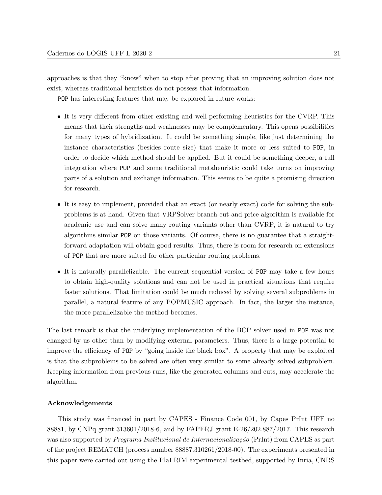approaches is that they "know" when to stop after proving that an improving solution does not exist, whereas traditional heuristics do not possess that information.

POP has interesting features that may be explored in future works:

- It is very different from other existing and well-performing heuristics for the CVRP. This means that their strengths and weaknesses may be complementary. This opens possibilities for many types of hybridization. It could be something simple, like just determining the instance characteristics (besides route size) that make it more or less suited to POP, in order to decide which method should be applied. But it could be something deeper, a full integration where POP and some traditional metaheuristic could take turns on improving parts of a solution and exchange information. This seems to be quite a promising direction for research.
- It is easy to implement, provided that an exact (or nearly exact) code for solving the subproblems is at hand. Given that VRPSolver branch-cut-and-price algorithm is available for academic use and can solve many routing variants other than CVRP, it is natural to try algorithms similar POP on those variants. Of course, there is no guarantee that a straightforward adaptation will obtain good results. Thus, there is room for research on extensions of POP that are more suited for other particular routing problems.
- It is naturally parallelizable. The current sequential version of POP may take a few hours to obtain high-quality solutions and can not be used in practical situations that require faster solutions. That limitation could be much reduced by solving several subproblems in parallel, a natural feature of any POPMUSIC approach. In fact, the larger the instance, the more parallelizable the method becomes.

The last remark is that the underlying implementation of the BCP solver used in POP was not changed by us other than by modifying external parameters. Thus, there is a large potential to improve the efficiency of POP by "going inside the black box". A property that may be exploited is that the subproblems to be solved are often very similar to some already solved subproblem. Keeping information from previous runs, like the generated columns and cuts, may accelerate the algorithm.

## Acknowledgements

This study was financed in part by CAPES - Finance Code 001, by Capes PrInt UFF no 88881, by CNPq grant 313601/2018-6, and by FAPERJ grant E-26/202.887/2017. This research was also supported by *Programa Institucional de Internacionalização* (PrInt) from CAPES as part of the project REMATCH (process number 88887.310261/2018-00). The experiments presented in this paper were carried out using the PlaFRIM experimental testbed, supported by Inria, CNRS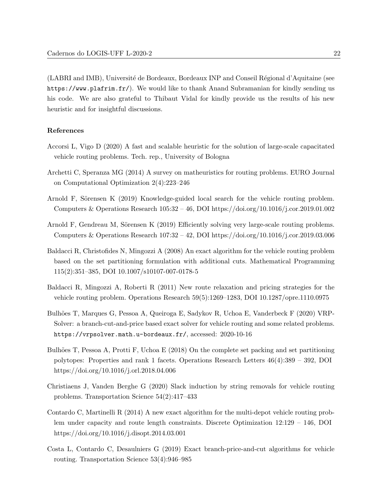(LABRI and IMB), Université de Bordeaux, Bordeaux INP and Conseil Régional d'Aquitaine (see <https://www.plafrim.fr/>). We would like to thank Anand Subramanian for kindly sending us his code. We are also grateful to Thibaut Vidal for kindly provide us the results of his new heuristic and for insightful discussions.

# References

- <span id="page-22-2"></span>Accorsi L, Vigo D (2020) A fast and scalable heuristic for the solution of large-scale capacitated vehicle routing problems. Tech. rep., University of Bologna
- <span id="page-22-4"></span>Archetti C, Speranza MG (2014) A survey on matheuristics for routing problems. EURO Journal on Computational Optimization 2(4):223–246
- <span id="page-22-0"></span>Arnold F, Sörensen K (2019) Knowledge-guided local search for the vehicle routing problem. Computers & Operations Research 105:32 – 46, DOI https://doi.org/10.1016/j.cor.2019.01.002
- <span id="page-22-10"></span>Arnold F, Gendreau M, Sörensen K (2019) Efficiently solving very large-scale routing problems. Computers & Operations Research 107:32 – 42, DOI https://doi.org/10.1016/j.cor.2019.03.006
- <span id="page-22-7"></span>Baldacci R, Christofides N, Mingozzi A (2008) An exact algorithm for the vehicle routing problem based on the set partitioning formulation with additional cuts. Mathematical Programming 115(2):351–385, DOI 10.1007/s10107-007-0178-5
- <span id="page-22-5"></span>Baldacci R, Mingozzi A, Roberti R (2011) New route relaxation and pricing strategies for the vehicle routing problem. Operations Research 59(5):1269–1283, DOI 10.1287/opre.1110.0975
- <span id="page-22-9"></span>Bulhões T, Marques G, Pessoa A, Queiroga E, Sadykov R, Uchoa E, Vanderbeck F (2020) VRP-Solver: a branch-cut-and-price based exact solver for vehicle routing and some related problems. <https://vrpsolver.math.u-bordeaux.fr/>, accessed: 2020-10-16
- <span id="page-22-6"></span>Bulhões T, Pessoa A, Protti F, Uchoa E  $(2018)$  On the complete set packing and set partitioning polytopes: Properties and rank 1 facets. Operations Research Letters 46(4):389 – 392, DOI https://doi.org/10.1016/j.orl.2018.04.006
- <span id="page-22-1"></span>Christiaens J, Vanden Berghe G (2020) Slack induction by string removals for vehicle routing problems. Transportation Science 54(2):417–433
- <span id="page-22-8"></span>Contardo C, Martinelli R (2014) A new exact algorithm for the multi-depot vehicle routing problem under capacity and route length constraints. Discrete Optimization 12:129 – 146, DOI https://doi.org/10.1016/j.disopt.2014.03.001
- <span id="page-22-3"></span>Costa L, Contardo C, Desaulniers G (2019) Exact branch-price-and-cut algorithms for vehicle routing. Transportation Science 53(4):946–985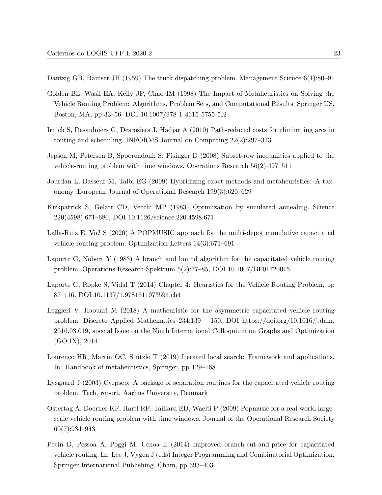<span id="page-23-0"></span>Dantzig GB, Ramser JH (1959) The truck dispatching problem. Management Science 6(1):80–91

- <span id="page-23-13"></span>Golden BL, Wasil EA, Kelly JP, Chao IM (1998) The Impact of Metaheuristics on Solving the Vehicle Routing Problem: Algorithms, Problem Sets, and Computational Results, Springer US, Boston, MA, pp 33–56. DOI 10.1007/978-1-4615-5755-5 2
- <span id="page-23-11"></span>Irnich S, Desaulniers G, Desrosiers J, Hadjar A (2010) Path-reduced costs for eliminating arcs in routing and scheduling. INFORMS Journal on Computing 22(2):297–313
- <span id="page-23-9"></span>Jepsen M, Petersen B, Spoorendonk S, Pisinger D (2008) Subset-row inequalities applied to the vehicle-routing problem with time windows. Operations Research 56(2):497–511
- <span id="page-23-5"></span>Jourdan L, Basseur M, Talbi EG (2009) Hybridizing exact methods and metaheuristics: A taxonomy. European Journal of Operational Research 199(3):620–629
- <span id="page-23-3"></span>Kirkpatrick S, Gelatt CD, Vecchi MP (1983) Optimization by simulated annealing. Science 220(4598):671–680, DOI 10.1126/science.220.4598.671
- <span id="page-23-8"></span>Lalla-Ruiz E, Voß S (2020) A POPMUSIC approach for the multi-depot cumulative capacitated vehicle routing problem. Optimization Letters 14(3):671–691
- <span id="page-23-10"></span>Laporte G, Nobert Y (1983) A branch and bound algorithm for the capacitated vehicle routing problem. Operations-Research-Spektrum 5(2):77–85, DOI 10.1007/BF01720015
- <span id="page-23-1"></span>Laporte G, Ropke S, Vidal T (2014) Chapter 4: Heuristics for the Vehicle Routing Problem, pp 87–116. DOI 10.1137/1.9781611973594.ch4
- <span id="page-23-6"></span>Leggieri V, Haouari M (2018) A matheuristic for the asymmetric capacitated vehicle routing problem. Discrete Applied Mathematics 234:139 – 150, DOI https://doi.org/10.1016/j.dam. 2016.03.019, special Issue on the Ninth International Colloquium on Graphs and Optimization (GO IX), 2014
- <span id="page-23-2"></span>Lourenço HR, Martin OC, Stützle T (2019) Iterated local search: Framework and applications. In: Handbook of metaheuristics, Springer, pp 129–168
- <span id="page-23-12"></span>Lysgaard J (2003) Cvrpsep: A package of separation routines for the capacitated vehicle routing problem. Tech. report, Aarhus University, Denmark
- <span id="page-23-7"></span>Ostertag A, Doerner KF, Hartl RF, Taillard ED, Waelti P (2009) Popmusic for a real-world largescale vehicle routing problem with time windows. Journal of the Operational Research Society 60(7):934–943
- <span id="page-23-4"></span>Pecin D, Pessoa A, Poggi M, Uchoa E (2014) Improved branch-cut-and-price for capacitated vehicle routing. In: Lee J, Vygen J (eds) Integer Programming and Combinatorial Optimization, Springer International Publishing, Cham, pp 393–403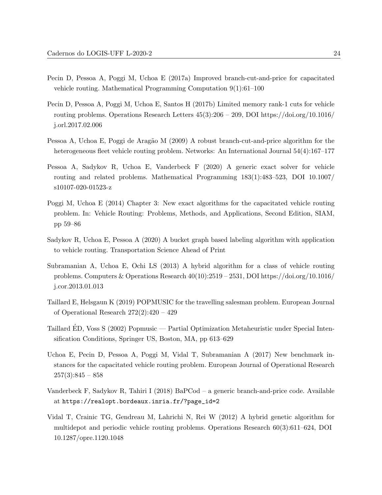- <span id="page-24-3"></span>Pecin D, Pessoa A, Poggi M, Uchoa E (2017a) Improved branch-cut-and-price for capacitated vehicle routing. Mathematical Programming Computation 9(1):61–100
- <span id="page-24-8"></span>Pecin D, Pessoa A, Poggi M, Uchoa E, Santos H (2017b) Limited memory rank-1 cuts for vehicle routing problems. Operations Research Letters  $45(3):206 - 209$ , DOI https://doi.org/10.1016/ j.orl.2017.02.006
- <span id="page-24-10"></span>Pessoa A, Uchoa E, Poggi de Aragão M (2009) A robust branch-cut-and-price algorithm for the heterogeneous fleet vehicle routing problem. Networks: An International Journal 54(4):167–177
- <span id="page-24-4"></span>Pessoa A, Sadykov R, Uchoa E, Vanderbeck F (2020) A generic exact solver for vehicle routing and related problems. Mathematical Programming 183(1):483–523, DOI 10.1007/ s10107-020-01523-z
- <span id="page-24-2"></span>Poggi M, Uchoa E (2014) Chapter 3: New exact algorithms for the capacitated vehicle routing problem. In: Vehicle Routing: Problems, Methods, and Applications, Second Edition, SIAM, pp 59–86
- <span id="page-24-9"></span>Sadykov R, Uchoa E, Pessoa A (2020) A bucket graph based labeling algorithm with application to vehicle routing. Transportation Science Ahead of Print
- <span id="page-24-0"></span>Subramanian A, Uchoa E, Ochi LS (2013) A hybrid algorithm for a class of vehicle routing problems. Computers & Operations Research  $40(10):2519-2531$ , DOI https://doi.org/10.1016/ j.cor.2013.01.013
- <span id="page-24-7"></span>Taillard E, Helsgaun K (2019) POPMUSIC for the travelling salesman problem. European Journal of Operational Research 272(2):420 – 429
- <span id="page-24-6"></span>Taillard ED, Voss S (2002) Popmusic — Partial Optimization Metaheuristic under Special Inten- ´ sification Conditions, Springer US, Boston, MA, pp 613–629
- <span id="page-24-5"></span>Uchoa E, Pecin D, Pessoa A, Poggi M, Vidal T, Subramanian A (2017) New benchmark instances for the capacitated vehicle routing problem. European Journal of Operational Research  $257(3):845 - 858$
- <span id="page-24-11"></span>Vanderbeck F, Sadykov R, Tahiri I (2018) BaPCod – a generic branch-and-price code. Available at [https://realopt.bordeaux.inria.fr/?page\\_id=2](https://realopt.bordeaux.inria.fr/?page_id=2)
- <span id="page-24-1"></span>Vidal T, Crainic TG, Gendreau M, Lahrichi N, Rei W (2012) A hybrid genetic algorithm for multidepot and periodic vehicle routing problems. Operations Research 60(3):611–624, DOI 10.1287/opre.1120.1048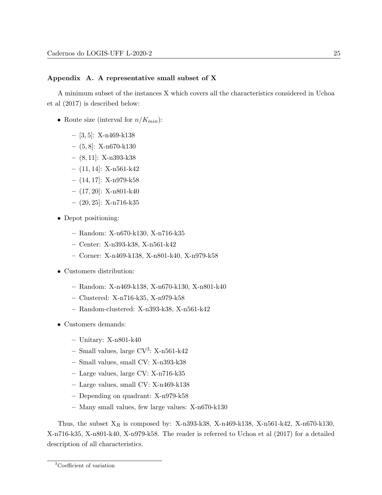# <span id="page-25-0"></span>Appendix A. A representative small subset of X

A minimum subset of the instances X which covers all the characteristics considered in [Uchoa](#page-24-5) [et al](#page-24-5) [\(2017\)](#page-24-5) is described below:

- Route size (interval for  $n/K_{min}$ ):
	- $-$  [3, 5]: X-n469-k138
	- $-$  (5,8): X-n670-k130
	- $-$  (8, 11]: X-n393-k38
	- $-$  (11, 14]: X-n561-k42
	- $-$  (14, 17]: X-n979-k58
	- $-$  (17, 20]: X-n801-k40
	- $-$  (20, 25): X-n716-k35
- Depot positioning:
	- Random: X-n670-k130, X-n716-k35
	- Center: X-n393-k38, X-n561-k42
	- Corner: X-n469-k138, X-n801-k40, X-n979-k58
- Customers distribution:
	- Random: X-n469-k138, X-n670-k130, X-n801-k40
	- Clustered: X-n716-k35, X-n979-k58
	- Random-clustered: X-n393-k38, X-n561-k42
- Customers demands:
	- Unitary: X-n801-k40
	- $-$  Small values, large CV<sup>[3](#page-25-1)</sup>: X-n561-k42
	- Small values, small CV: X-n393-k38
	- Large values, large CV: X-n716-k35
	- Large values, small CV: X-n469-k138
	- Depending on quadrant: X-n979-k58
	- Many small values, few large values: X-n670-k130

<span id="page-25-1"></span>Thus, the subset  $X_R$  is composed by: X-n393-k38, X-n469-k138, X-n561-k42, X-n670-k130, X-n716-k35, X-n801-k40, X-n979-k58. The reader is referred to [Uchoa et al](#page-24-5) [\(2017\)](#page-24-5) for a detailed description of all characteristics.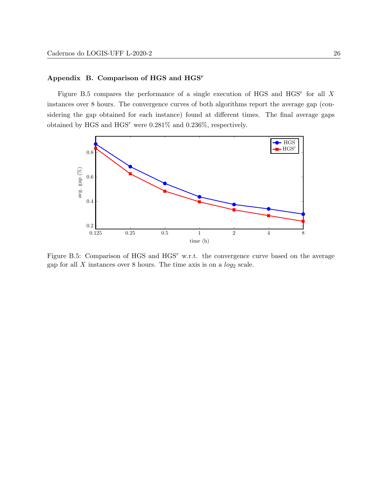# <span id="page-26-0"></span>Appendix B. Comparison of HGS and HGS<sup>r</sup>

Figure [B.5](#page-26-1) compares the performance of a single execution of HGS and  $HGS<sup>r</sup>$  for all X instances over 8 hours. The convergence curves of both algorithms report the average gap (considering the gap obtained for each instance) found at different times. The final average gaps obtained by HGS and HGS<sup>r</sup> were 0.281% and 0.236%, respectively.

<span id="page-26-1"></span>

Figure B.5: Comparison of HGS and HGS<sup>r</sup> w.r.t. the convergence curve based on the average gap for all  $X$  instances over 8 hours. The time axis is on a  $log_2$  scale.